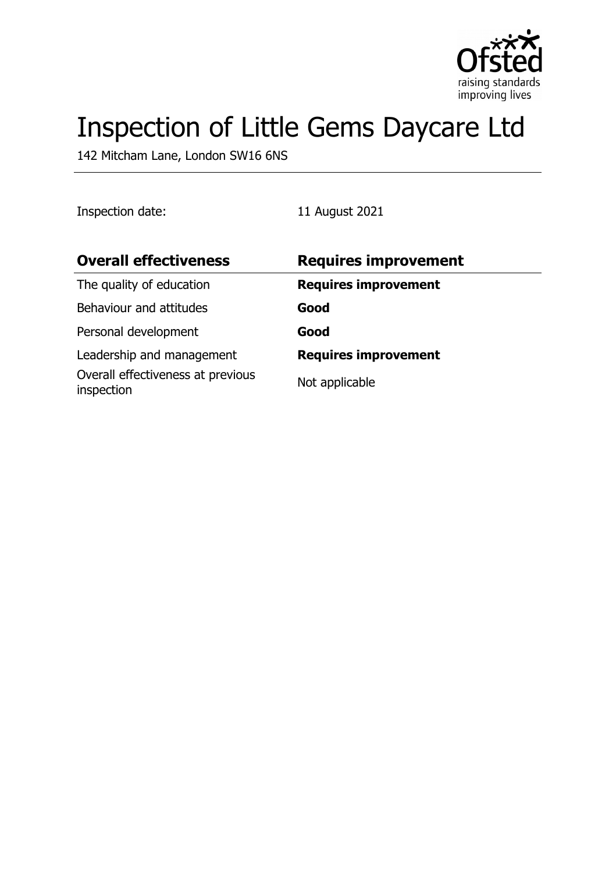

# Inspection of Little Gems Daycare Ltd

142 Mitcham Lane, London SW16 6NS

Inspection date: 11 August 2021

| <b>Overall effectiveness</b>                    | <b>Requires improvement</b> |
|-------------------------------------------------|-----------------------------|
| The quality of education                        | <b>Requires improvement</b> |
| Behaviour and attitudes                         | Good                        |
| Personal development                            | Good                        |
| Leadership and management                       | <b>Requires improvement</b> |
| Overall effectiveness at previous<br>inspection | Not applicable              |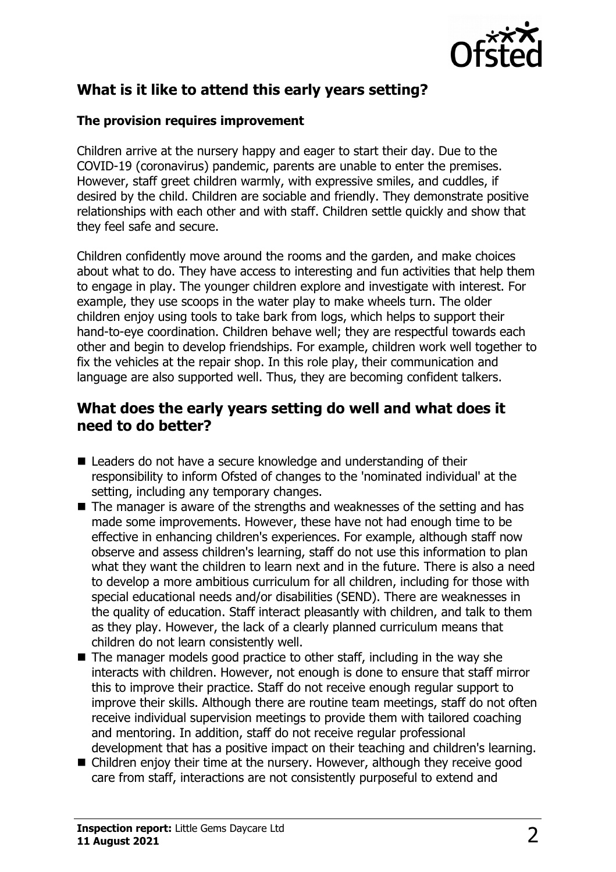

# **What is it like to attend this early years setting?**

#### **The provision requires improvement**

Children arrive at the nursery happy and eager to start their day. Due to the COVID-19 (coronavirus) pandemic, parents are unable to enter the premises. However, staff greet children warmly, with expressive smiles, and cuddles, if desired by the child. Children are sociable and friendly. They demonstrate positive relationships with each other and with staff. Children settle quickly and show that they feel safe and secure.

Children confidently move around the rooms and the garden, and make choices about what to do. They have access to interesting and fun activities that help them to engage in play. The younger children explore and investigate with interest. For example, they use scoops in the water play to make wheels turn. The older children enjoy using tools to take bark from logs, which helps to support their hand-to-eye coordination. Children behave well; they are respectful towards each other and begin to develop friendships. For example, children work well together to fix the vehicles at the repair shop. In this role play, their communication and language are also supported well. Thus, they are becoming confident talkers.

## **What does the early years setting do well and what does it need to do better?**

- $\blacksquare$  Leaders do not have a secure knowledge and understanding of their responsibility to inform Ofsted of changes to the 'nominated individual' at the setting, including any temporary changes.
- $\blacksquare$  The manager is aware of the strengths and weaknesses of the setting and has made some improvements. However, these have not had enough time to be effective in enhancing children's experiences. For example, although staff now observe and assess children's learning, staff do not use this information to plan what they want the children to learn next and in the future. There is also a need to develop a more ambitious curriculum for all children, including for those with special educational needs and/or disabilities (SEND). There are weaknesses in the quality of education. Staff interact pleasantly with children, and talk to them as they play. However, the lack of a clearly planned curriculum means that children do not learn consistently well.
- $\blacksquare$  The manager models good practice to other staff, including in the way she interacts with children. However, not enough is done to ensure that staff mirror this to improve their practice. Staff do not receive enough regular support to improve their skills. Although there are routine team meetings, staff do not often receive individual supervision meetings to provide them with tailored coaching and mentoring. In addition, staff do not receive regular professional development that has a positive impact on their teaching and children's learning.
- $\blacksquare$  Children enjoy their time at the nursery. However, although they receive good care from staff, interactions are not consistently purposeful to extend and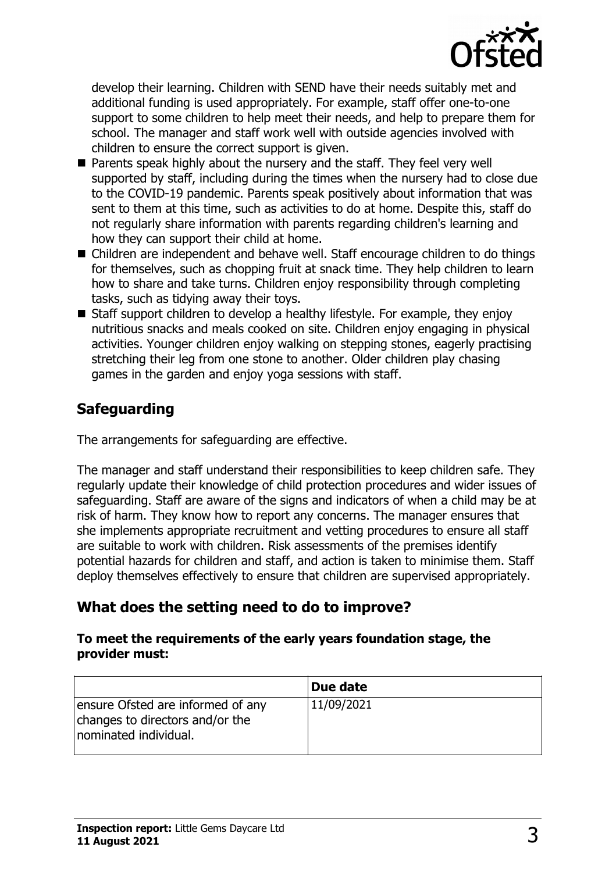

develop their learning. Children with SEND have their needs suitably met and additional funding is used appropriately. For example, staff offer one-to-one support to some children to help meet their needs, and help to prepare them for school. The manager and staff work well with outside agencies involved with children to ensure the correct support is given.

- Parents speak highly about the nursery and the staff. They feel very well supported by staff, including during the times when the nursery had to close due to the COVID-19 pandemic. Parents speak positively about information that was sent to them at this time, such as activities to do at home. Despite this, staff do not regularly share information with parents regarding children's learning and how they can support their child at home.
- Children are independent and behave well. Staff encourage children to do things for themselves, such as chopping fruit at snack time. They help children to learn how to share and take turns. Children enjoy responsibility through completing tasks, such as tidying away their toys.
- $\blacksquare$  Staff support children to develop a healthy lifestyle. For example, they enjoy nutritious snacks and meals cooked on site. Children enjoy engaging in physical activities. Younger children enjoy walking on stepping stones, eagerly practising stretching their leg from one stone to another. Older children play chasing games in the garden and enjoy yoga sessions with staff.

# **Safeguarding**

The arrangements for safeguarding are effective.

The manager and staff understand their responsibilities to keep children safe. They regularly update their knowledge of child protection procedures and wider issues of safeguarding. Staff are aware of the signs and indicators of when a child may be at risk of harm. They know how to report any concerns. The manager ensures that she implements appropriate recruitment and vetting procedures to ensure all staff are suitable to work with children. Risk assessments of the premises identify potential hazards for children and staff, and action is taken to minimise them. Staff deploy themselves effectively to ensure that children are supervised appropriately.

# **What does the setting need to do to improve?**

#### **To meet the requirements of the early years foundation stage, the provider must:**

|                                                                                               | Due date   |
|-----------------------------------------------------------------------------------------------|------------|
| ensure Ofsted are informed of any<br>changes to directors and/or the<br>nominated individual. | 11/09/2021 |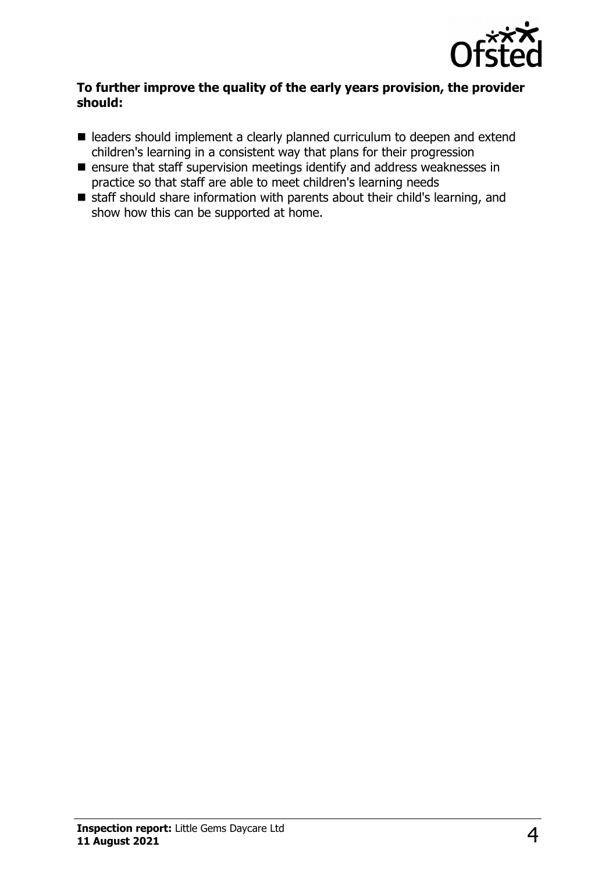

#### **To further improve the quality of the early years provision, the provider should:**

- leaders should implement a clearly planned curriculum to deepen and extend children's learning in a consistent way that plans for their progression
- $\blacksquare$  ensure that staff supervision meetings identify and address weaknesses in practice so that staff are able to meet children's learning needs
- $\blacksquare$  staff should share information with parents about their child's learning, and show how this can be supported at home.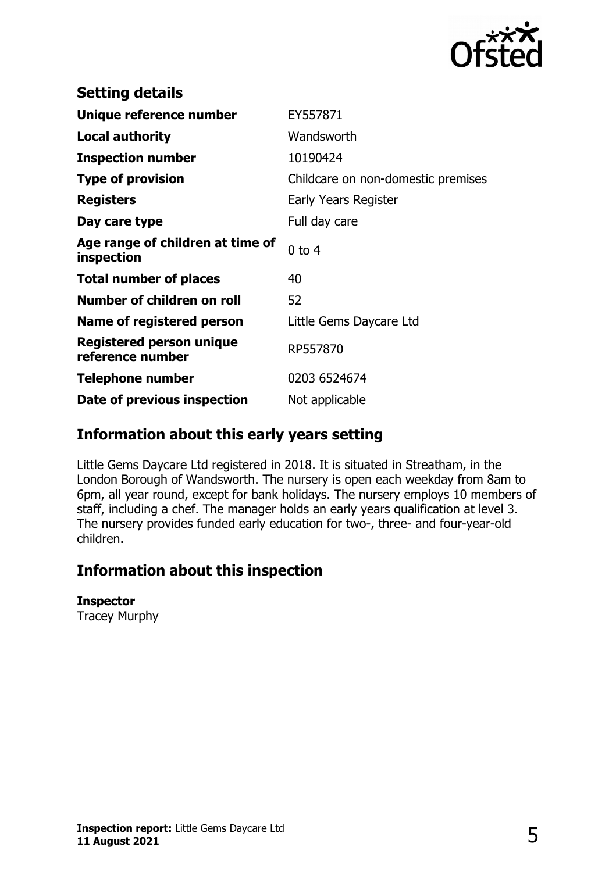

| <b>Setting details</b>                         |                                    |
|------------------------------------------------|------------------------------------|
| Unique reference number                        | EY557871                           |
| Local authority                                | Wandsworth                         |
| <b>Inspection number</b>                       | 10190424                           |
| <b>Type of provision</b>                       | Childcare on non-domestic premises |
| <b>Registers</b>                               | Early Years Register               |
| Day care type                                  | Full day care                      |
| Age range of children at time of<br>inspection | $0$ to $4$                         |
| <b>Total number of places</b>                  | 40                                 |
| Number of children on roll                     | 52                                 |
| Name of registered person                      | Little Gems Daycare Ltd            |
| Registered person unique<br>reference number   | RP557870                           |
| <b>Telephone number</b>                        | 0203 6524674                       |
| Date of previous inspection                    | Not applicable                     |

## **Information about this early years setting**

Little Gems Daycare Ltd registered in 2018. It is situated in Streatham, in the London Borough of Wandsworth. The nursery is open each weekday from 8am to 6pm, all year round, except for bank holidays. The nursery employs 10 members of staff, including a chef. The manager holds an early years qualification at level 3. The nursery provides funded early education for two-, three- and four-year-old children.

## **Information about this inspection**

#### **Inspector**

Tracey Murphy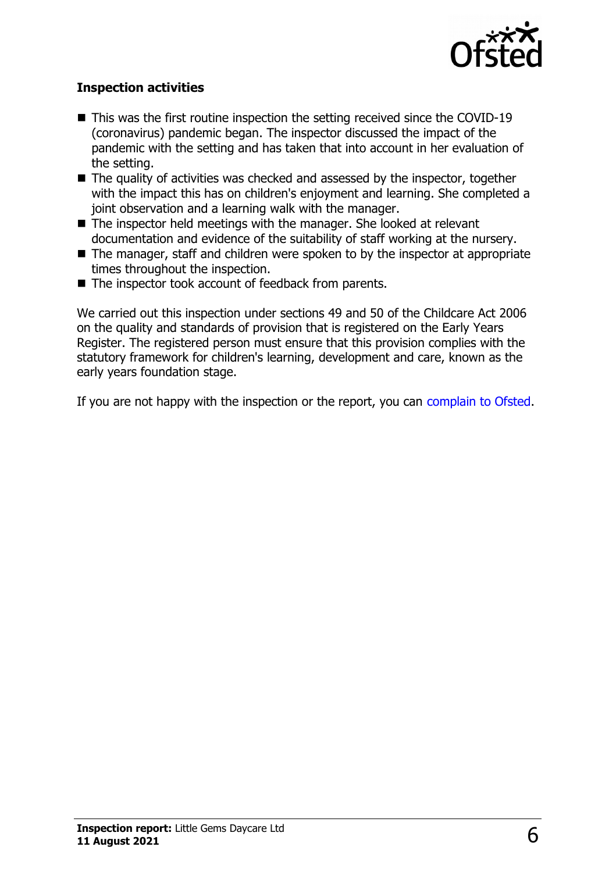

#### **Inspection activities**

- $\blacksquare$  This was the first routine inspection the setting received since the COVID-19 (coronavirus) pandemic began. The inspector discussed the impact of the pandemic with the setting and has taken that into account in her evaluation of the setting.
- $\blacksquare$  The quality of activities was checked and assessed by the inspector, together with the impact this has on children's enjoyment and learning. She completed a joint observation and a learning walk with the manager.
- $\blacksquare$  The inspector held meetings with the manager. She looked at relevant documentation and evidence of the suitability of staff working at the nursery.
- $\blacksquare$  The manager, staff and children were spoken to by the inspector at appropriate times throughout the inspection.
- $\blacksquare$  The inspector took account of feedback from parents.

We carried out this inspection under sections 49 and 50 of the Childcare Act 2006 on the quality and standards of provision that is registered on the Early Years Register. The registered person must ensure that this provision complies with the statutory framework for children's learning, development and care, known as the early years foundation stage.

If you are not happy with the inspection or the report, you can [complain to Ofsted.](http://www.gov.uk/complain-ofsted-report)